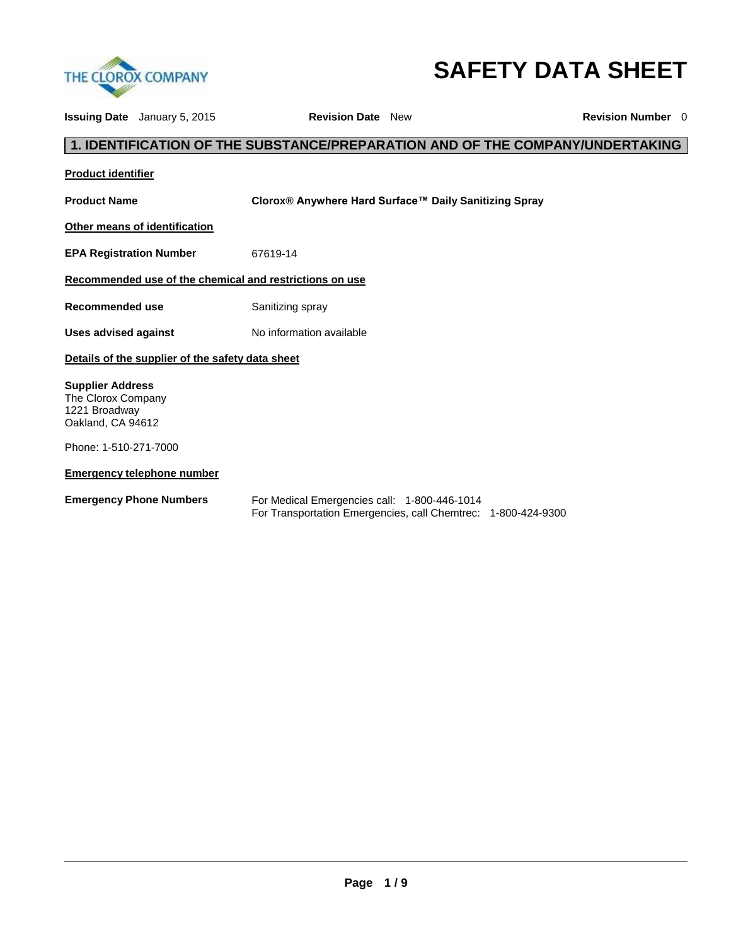

# **SAFETY DATA SHEET**

**Issuing Date** January 5, 2015 **Revision Date** New **Revision Number** 0 **1. IDENTIFICATION OF THE SUBSTANCE/PREPARATION AND OF THE COMPANY/UNDERTAKING Product identifier Product Name Clorox® Anywhere Hard Surface™ Daily Sanitizing Spray Other means of identification EPA Registration Number** 67619-14 **Recommended use of the chemical and restrictions on use Recommended use Sanitizing spray** Uses advised against **No information available Details of the supplier of the safety data sheet Supplier Address** The Clorox Company 1221 Broadway Oakland, CA 94612 Phone: 1-510-271-7000 **Emergency telephone number Emergency Phone Numbers** For Medical Emergencies call: 1-800-446-1014 For Transportation Emergencies, call Chemtrec: 1-800-424-9300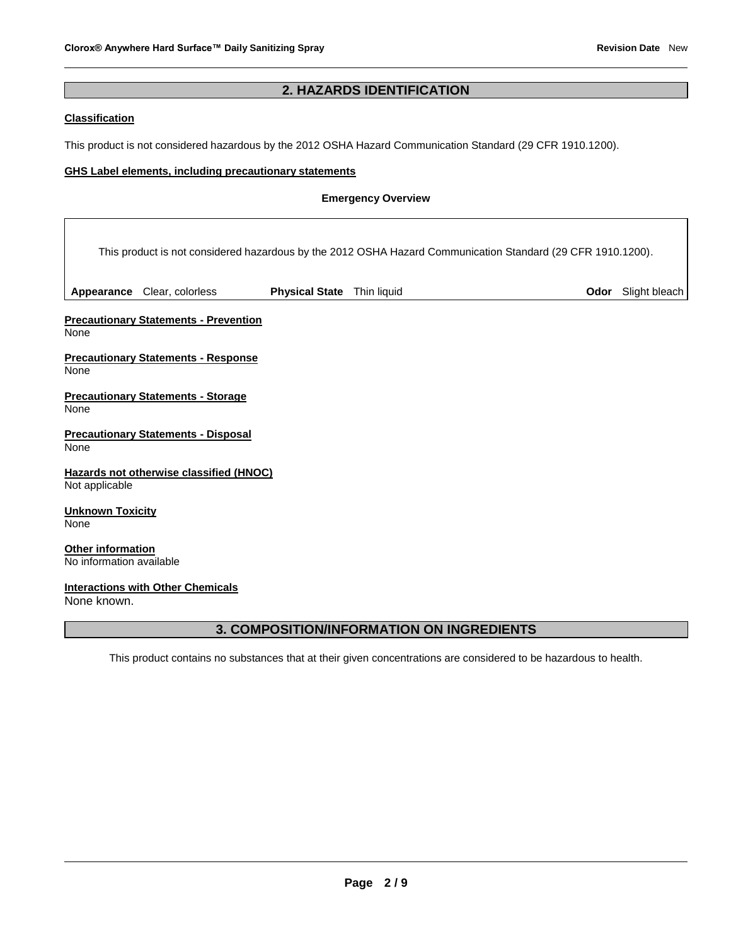## **2. HAZARDS IDENTIFICATION**

## **Classification**

This product is not considered hazardous by the 2012 OSHA Hazard Communication Standard (29 CFR 1910.1200).

#### **GHS Label elements, including precautionary statements**

| <b>Emergency Overview</b><br>This product is not considered hazardous by the 2012 OSHA Hazard Communication Standard (29 CFR 1910.1200). |                                              |  |  |  |  |  |
|------------------------------------------------------------------------------------------------------------------------------------------|----------------------------------------------|--|--|--|--|--|
|                                                                                                                                          |                                              |  |  |  |  |  |
| None                                                                                                                                     | <b>Precautionary Statements - Prevention</b> |  |  |  |  |  |
| None                                                                                                                                     | <b>Precautionary Statements - Response</b>   |  |  |  |  |  |
| None                                                                                                                                     | <b>Precautionary Statements - Storage</b>    |  |  |  |  |  |
| None                                                                                                                                     | <b>Precautionary Statements - Disposal</b>   |  |  |  |  |  |
| Not applicable                                                                                                                           | Hazards not otherwise classified (HNOC)      |  |  |  |  |  |
| <b>Unknown Toxicity</b><br>None                                                                                                          |                                              |  |  |  |  |  |

**Other information** No information available

# **Interactions with Other Chemicals**

None known.

## **3. COMPOSITION/INFORMATION ON INGREDIENTS**

This product contains no substances that at their given concentrations are considered to be hazardous to health.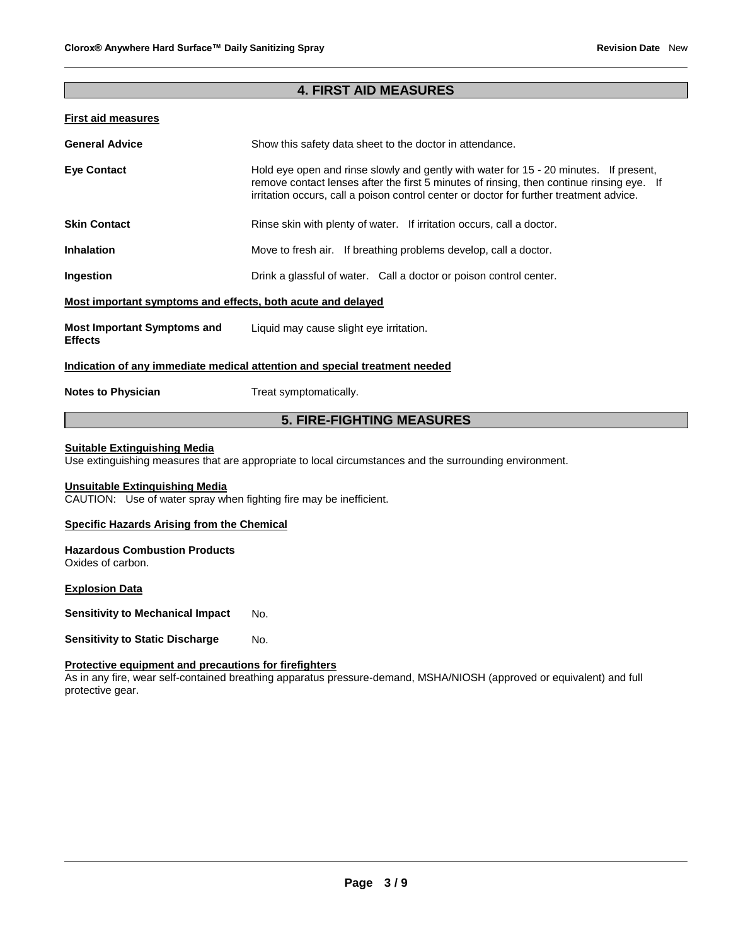## **4. FIRST AID MEASURES**

#### **First aid measures**

| <b>General Advice</b>                                       | Show this safety data sheet to the doctor in attendance.                                                                                                                                                                                                                      |
|-------------------------------------------------------------|-------------------------------------------------------------------------------------------------------------------------------------------------------------------------------------------------------------------------------------------------------------------------------|
| <b>Eye Contact</b>                                          | Hold eye open and rinse slowly and gently with water for 15 - 20 minutes. If present,<br>remove contact lenses after the first 5 minutes of rinsing, then continue rinsing eye. If<br>irritation occurs, call a poison control center or doctor for further treatment advice. |
| <b>Skin Contact</b>                                         | Rinse skin with plenty of water. If irritation occurs, call a doctor.                                                                                                                                                                                                         |
| <b>Inhalation</b>                                           | Move to fresh air. If breathing problems develop, call a doctor.                                                                                                                                                                                                              |
| Ingestion                                                   | Drink a glassful of water. Call a doctor or poison control center.                                                                                                                                                                                                            |
| Most important symptoms and effects, both acute and delayed |                                                                                                                                                                                                                                                                               |
| <b>Most Important Symptoms and</b><br><b>Effects</b>        | Liquid may cause slight eye irritation.                                                                                                                                                                                                                                       |
|                                                             | Indication of any immediate medical attention and special treatment needed                                                                                                                                                                                                    |
| <b>Notes to Physician</b>                                   | Treat symptomatically.                                                                                                                                                                                                                                                        |

## **5. FIRE-FIGHTING MEASURES**

## **Suitable Extinguishing Media**

Use extinguishing measures that are appropriate to local circumstances and the surrounding environment.

#### **Unsuitable Extinguishing Media**

CAUTION: Use of water spray when fighting fire may be inefficient.

#### **Specific Hazards Arising from the Chemical**

#### **Hazardous Combustion Products** Oxides of carbon.

## **Explosion Data**

**Sensitivity to Mechanical Impact No.** 

**Sensitivity to Static Discharge Mo.** 

#### **Protective equipment and precautions for firefighters**

As in any fire, wear self-contained breathing apparatus pressure-demand, MSHA/NIOSH (approved or equivalent) and full protective gear.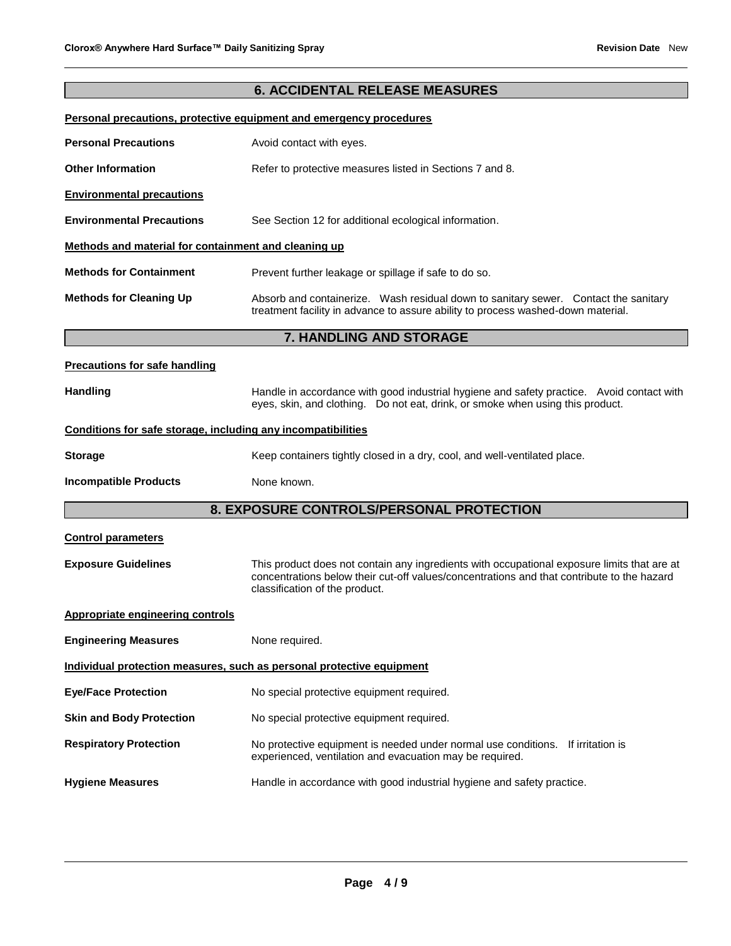## **6. ACCIDENTAL RELEASE MEASURES**

#### **Personal precautions, protective equipment and emergency procedures**

| <b>Personal Precautions</b>                                  | Avoid contact with eyes.                                                                                                                                                                                                    |  |  |  |  |
|--------------------------------------------------------------|-----------------------------------------------------------------------------------------------------------------------------------------------------------------------------------------------------------------------------|--|--|--|--|
| <b>Other Information</b>                                     | Refer to protective measures listed in Sections 7 and 8.                                                                                                                                                                    |  |  |  |  |
| <b>Environmental precautions</b>                             |                                                                                                                                                                                                                             |  |  |  |  |
| <b>Environmental Precautions</b>                             | See Section 12 for additional ecological information.                                                                                                                                                                       |  |  |  |  |
| Methods and material for containment and cleaning up         |                                                                                                                                                                                                                             |  |  |  |  |
| <b>Methods for Containment</b>                               | Prevent further leakage or spillage if safe to do so.                                                                                                                                                                       |  |  |  |  |
| <b>Methods for Cleaning Up</b>                               | Absorb and containerize. Wash residual down to sanitary sewer. Contact the sanitary<br>treatment facility in advance to assure ability to process washed-down material.                                                     |  |  |  |  |
|                                                              | 7. HANDLING AND STORAGE                                                                                                                                                                                                     |  |  |  |  |
| <b>Precautions for safe handling</b>                         |                                                                                                                                                                                                                             |  |  |  |  |
| <b>Handling</b>                                              | Handle in accordance with good industrial hygiene and safety practice. Avoid contact with<br>eyes, skin, and clothing. Do not eat, drink, or smoke when using this product.                                                 |  |  |  |  |
| Conditions for safe storage, including any incompatibilities |                                                                                                                                                                                                                             |  |  |  |  |
| <b>Storage</b>                                               | Keep containers tightly closed in a dry, cool, and well-ventilated place.                                                                                                                                                   |  |  |  |  |
| <b>Incompatible Products</b>                                 | None known.                                                                                                                                                                                                                 |  |  |  |  |
|                                                              | 8. EXPOSURE CONTROLS/PERSONAL PROTECTION                                                                                                                                                                                    |  |  |  |  |
| <b>Control parameters</b>                                    |                                                                                                                                                                                                                             |  |  |  |  |
| <b>Exposure Guidelines</b>                                   | This product does not contain any ingredients with occupational exposure limits that are at<br>concentrations below their cut-off values/concentrations and that contribute to the hazard<br>classification of the product. |  |  |  |  |
| <b>Appropriate engineering controls</b>                      |                                                                                                                                                                                                                             |  |  |  |  |

| <b>Engineering Measures</b>                                           | None required.                            |  |  |  |
|-----------------------------------------------------------------------|-------------------------------------------|--|--|--|
| Individual protection measures, such as personal protective equipment |                                           |  |  |  |
| <b>Eye/Face Protection</b>                                            | No special protective equipment required. |  |  |  |
| <b>Skin and Body Protection</b>                                       | No special protective equipment required. |  |  |  |

## **Respiratory Protection** No protective equipment is needed under normal use conditions. If irritation is experienced, ventilation and evacuation may be required.

## Hygiene Measures **Handle in accordance with good industrial hygiene and safety practice.**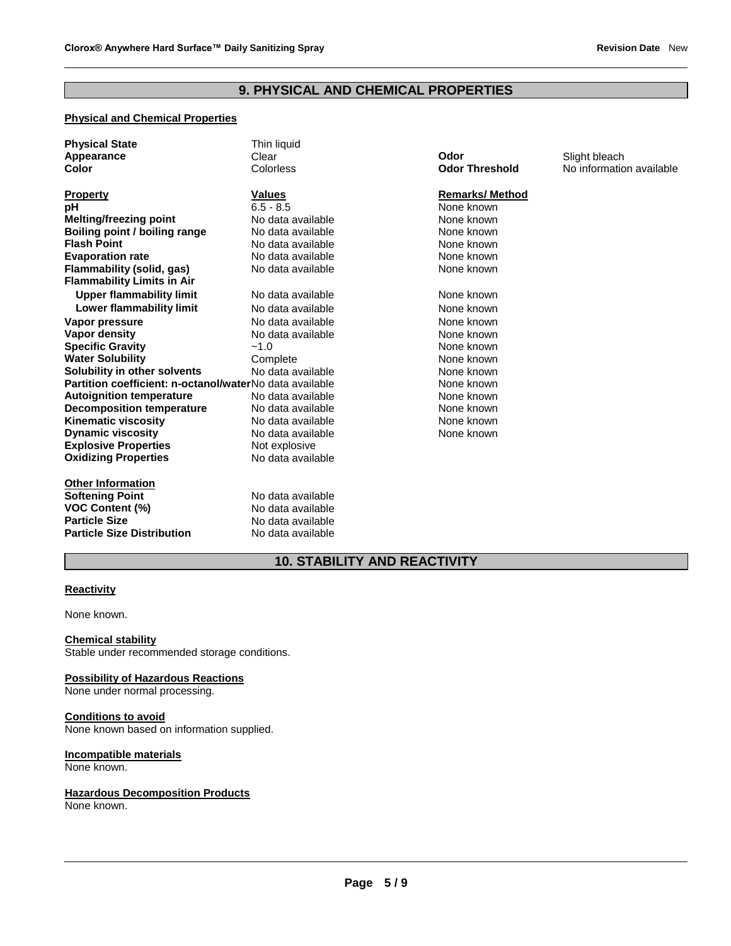## **9. PHYSICAL AND CHEMICAL PROPERTIES**

## **Physical and Chemical Properties**

| <b>Physical State</b><br>Appearance<br>Color                                                                                                                                                 | Thin liquid<br>Clear<br>Colorless                                                                                | Odor<br><b>Odor Threshold</b>                                                               | Slight bleach<br>No information available |
|----------------------------------------------------------------------------------------------------------------------------------------------------------------------------------------------|------------------------------------------------------------------------------------------------------------------|---------------------------------------------------------------------------------------------|-------------------------------------------|
| <b>Property</b><br>рH<br>Melting/freezing point<br>Boiling point / boiling range<br><b>Flash Point</b><br><b>Evaporation rate</b>                                                            | <b>Values</b><br>$6.5 - 8.5$<br>No data available<br>No data available<br>No data available<br>No data available | <b>Remarks/Method</b><br>None known<br>None known<br>None known<br>None known<br>None known |                                           |
| Flammability (solid, gas)<br><b>Flammability Limits in Air</b><br><b>Upper flammability limit</b><br>Lower flammability limit                                                                | No data available<br>No data available<br>No data available                                                      | None known<br>None known<br>None known                                                      |                                           |
| Vapor pressure<br><b>Vapor density</b><br><b>Specific Gravity</b><br><b>Water Solubility</b>                                                                                                 | No data available<br>No data available<br>$-1.0$<br>Complete                                                     | None known<br>None known<br>None known<br>None known                                        |                                           |
| Solubility in other solvents<br>Partition coefficient: n-octanol/waterNo data available<br><b>Autoignition temperature</b><br><b>Decomposition temperature</b><br><b>Kinematic viscosity</b> | No data available<br>No data available<br>No data available<br>No data available                                 | None known<br>None known<br>None known<br>None known<br>None known                          |                                           |
| <b>Dynamic viscosity</b><br><b>Explosive Properties</b><br><b>Oxidizing Properties</b>                                                                                                       | No data available<br>Not explosive<br>No data available                                                          | None known                                                                                  |                                           |
| <b>Other Information</b><br><b>Softening Point</b><br><b>VOC Content (%)</b><br><b>Particle Size</b><br><b>Particle Size Distribution</b>                                                    | No data available<br>No data available<br>No data available<br>No data available                                 |                                                                                             |                                           |

## **10. STABILITY AND REACTIVITY**

#### **Reactivity**

None known.

**Chemical stability** Stable under recommended storage conditions.

## **Possibility of Hazardous Reactions**

None under normal processing.

#### **Conditions to avoid**

None known based on information supplied.

#### **Incompatible materials**

None known.

#### **Hazardous Decomposition Products**

None known.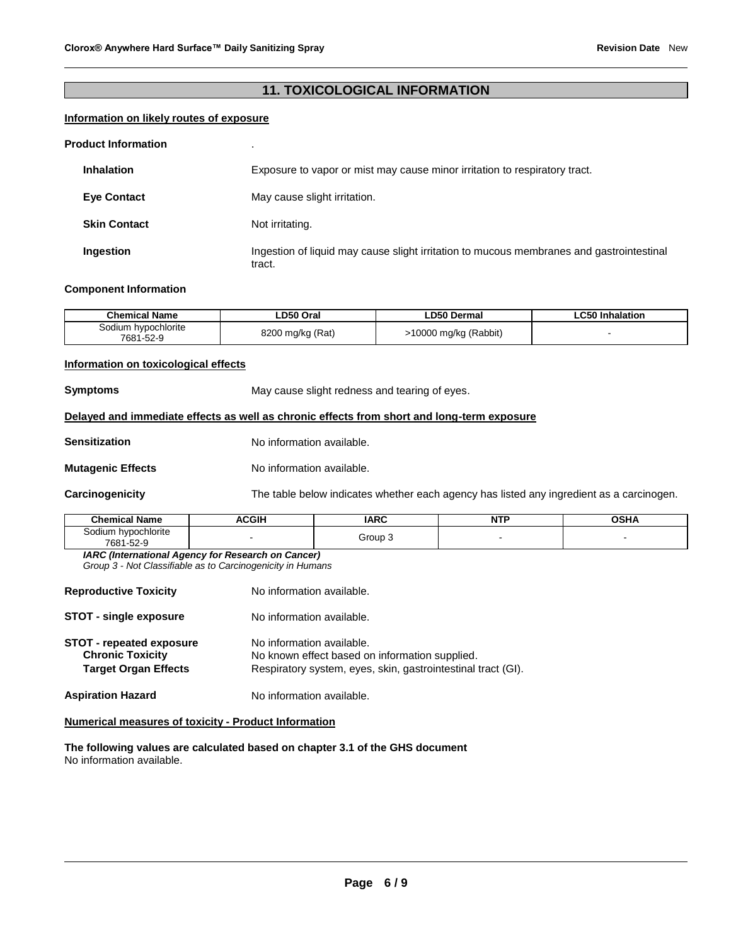## **11. TOXICOLOGICAL INFORMATION**

## **Information on likely routes of exposure**

#### **Product Information** .

| <b>Inhalation</b>   | Exposure to vapor or mist may cause minor irritation to respiratory tract.                         |
|---------------------|----------------------------------------------------------------------------------------------------|
| <b>Eve Contact</b>  | May cause slight irritation.                                                                       |
| <b>Skin Contact</b> | Not irritating.                                                                                    |
| Ingestion           | Ingestion of liquid may cause slight irritation to mucous membranes and gastrointestinal<br>tract. |

#### **Component Information**

| <b>Chemical Name</b>             | ∟D50 Oral        | ∟D50 Dermal           | ∟C50 Inhalation |
|----------------------------------|------------------|-----------------------|-----------------|
| Sodium hypochlorite<br>7681-52-9 | 8200 mg/kg (Rat) | >10000 mg/kg (Rabbit) |                 |

#### **Information on toxicological effects**

| Symptoms | May cause slight redness and tearing of eyes. |
|----------|-----------------------------------------------|
|          |                                               |

#### **Delayed and immediate effects as well as chronic effects from short and long-term exposure**

**Sensitization No information available.** 

**Mutagenic Effects** No information available.

**Carcinogenicity** The table below indicates whether each agency has listed any ingredient as a carcinogen.

| <b>Chemical Name</b>                               | <b>ACGIH</b> | <b>IARC</b> | <b><i><u>ALLER AND</u></i></b><br>N<br>. L<br>. | <b>OSHA</b> |
|----------------------------------------------------|--------------|-------------|-------------------------------------------------|-------------|
| hypochlorite<br>Sodium<br>ro c<br>700.<br>681-52-9 |              | Group       |                                                 |             |

*IARC (International Agency for Research on Cancer) Group 3 - Not Classifiable as to Carcinogenicity in Humans* 

| <b>Aspiration Hazard</b>        | No information available.                                    |
|---------------------------------|--------------------------------------------------------------|
| <b>Target Organ Effects</b>     | Respiratory system, eyes, skin, gastrointestinal tract (GI). |
| <b>Chronic Toxicity</b>         | No known effect based on information supplied.               |
| <b>STOT - repeated exposure</b> | No information available.                                    |
| <b>STOT - single exposure</b>   | No information available.                                    |
| <b>Reproductive Toxicity</b>    | No information available.                                    |

#### **Numerical measures of toxicity - Product Information**

**The following values are calculated based on chapter 3.1 of the GHS document** No information available.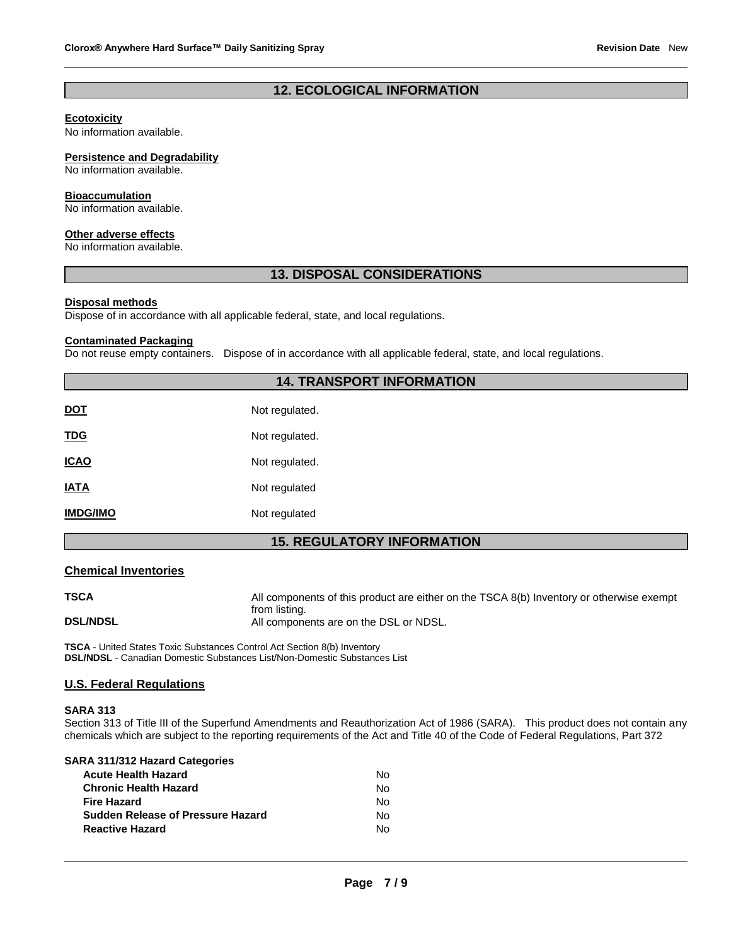## **12. ECOLOGICAL INFORMATION**

#### **Ecotoxicity**

No information available.

#### **Persistence and Degradability**

No information available.

#### **Bioaccumulation**

No information available.

#### **Other adverse effects**

No information available.

#### **13. DISPOSAL CONSIDERATIONS**

#### **Disposal methods**

Dispose of in accordance with all applicable federal, state, and local regulations.

#### **Contaminated Packaging**

Do not reuse empty containers. Dispose of in accordance with all applicable federal, state, and local regulations.

## **14. TRANSPORT INFORMATION**

| <b>DOT</b>      | Not regulated. |
|-----------------|----------------|
| <b>TDG</b>      | Not regulated. |
| <b>ICAO</b>     | Not regulated. |
| <b>IATA</b>     | Not regulated  |
| <b>IMDG/IMO</b> | Not regulated  |

## **15. REGULATORY INFORMATION**

#### **Chemical Inventories**

**TSCA All components of this product are either on the TSCA 8(b) Inventory or otherwise exempt** from listing. **DSL/NDSL All components are on the DSL or NDSL.** 

**TSCA** - United States Toxic Substances Control Act Section 8(b) Inventory **DSL/NDSL** - Canadian Domestic Substances List/Non-Domestic Substances List

#### **U.S. Federal Regulations**

#### **SARA 313**

Section 313 of Title III of the Superfund Amendments and Reauthorization Act of 1986 (SARA). This product does not contain any chemicals which are subject to the reporting requirements of the Act and Title 40 of the Code of Federal Regulations, Part 372

|  |  |  | SARA 311/312 Hazard Categories |  |
|--|--|--|--------------------------------|--|
|--|--|--|--------------------------------|--|

| <b>Acute Health Hazard</b>               | No. |
|------------------------------------------|-----|
| <b>Chronic Health Hazard</b>             | No. |
| <b>Fire Hazard</b>                       | N٥  |
| <b>Sudden Release of Pressure Hazard</b> | No. |
| <b>Reactive Hazard</b>                   | No. |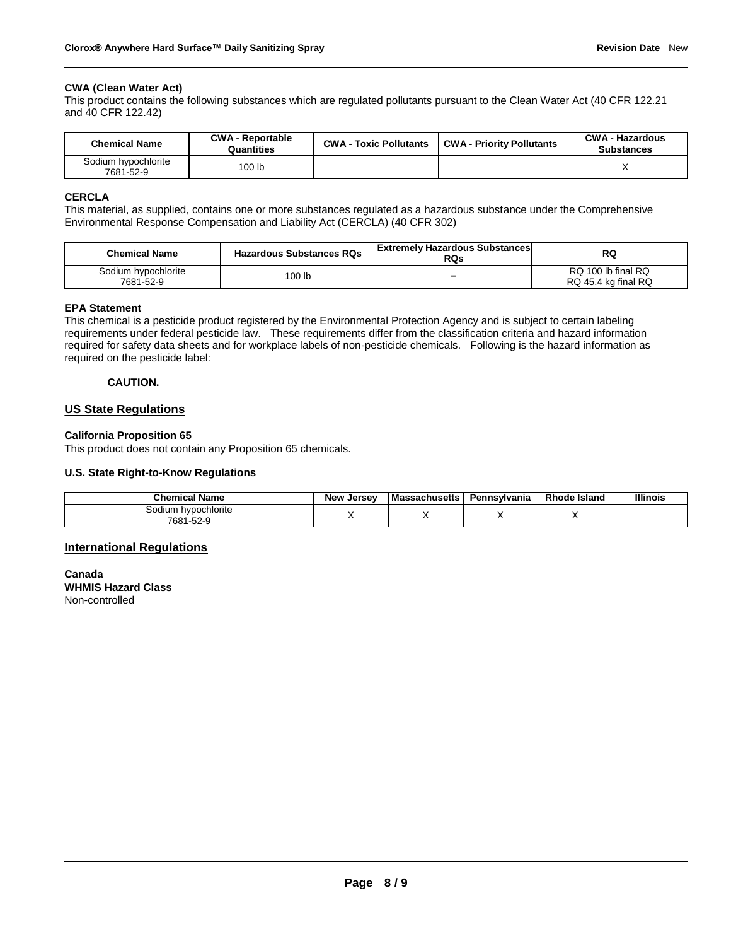#### **CWA (Clean Water Act)**

This product contains the following substances which are regulated pollutants pursuant to the Clean Water Act (40 CFR 122.21 and 40 CFR 122.42)

| <b>Chemical Name</b>             | <b>CWA - Reportable</b><br>Quantities | <b>CWA - Toxic Pollutants</b> | <b>CWA - Priority Pollutants</b> | <b>CWA - Hazardous</b><br><b>Substances</b> |
|----------------------------------|---------------------------------------|-------------------------------|----------------------------------|---------------------------------------------|
| Sodium hypochlorite<br>7681-52-9 | 100 lb                                |                               |                                  |                                             |

#### **CERCLA**

This material, as supplied, contains one or more substances regulated as a hazardous substance under the Comprehensive Environmental Response Compensation and Liability Act (CERCLA) (40 CFR 302)

| <b>Chemical Name</b>             | <b>Hazardous Substances RQs</b> | <b>Extremely Hazardous Substances</b><br><b>RQs</b> | RQ                                        |
|----------------------------------|---------------------------------|-----------------------------------------------------|-------------------------------------------|
| Sodium hypochlorite<br>7681-52-9 | 100 lb                          | -                                                   | RQ 100 lb final RQ<br>RQ 45.4 kg final RQ |

#### **EPA Statement**

This chemical is a pesticide product registered by the Environmental Protection Agency and is subject to certain labeling requirements under federal pesticide law. These requirements differ from the classification criteria and hazard information required for safety data sheets and for workplace labels of non-pesticide chemicals. Following is the hazard information as required on the pesticide label:

#### **CAUTION.**

## **US State Regulations**

#### **California Proposition 65**

This product does not contain any Proposition 65 chemicals.

#### **U.S. State Right-to-Know Regulations**

| <b>Chemical Name</b>             | <b>New Jersey</b> | <b>Massachusetts</b> | Pennsvlvania | <b>Rhode Island</b> | <b>Illinois</b> |
|----------------------------------|-------------------|----------------------|--------------|---------------------|-----------------|
| Sodium hypochlorite<br>7681-52-9 |                   |                      |              |                     |                 |

#### **International Regulations**

**Canada WHMIS Hazard Class** Non-controlled